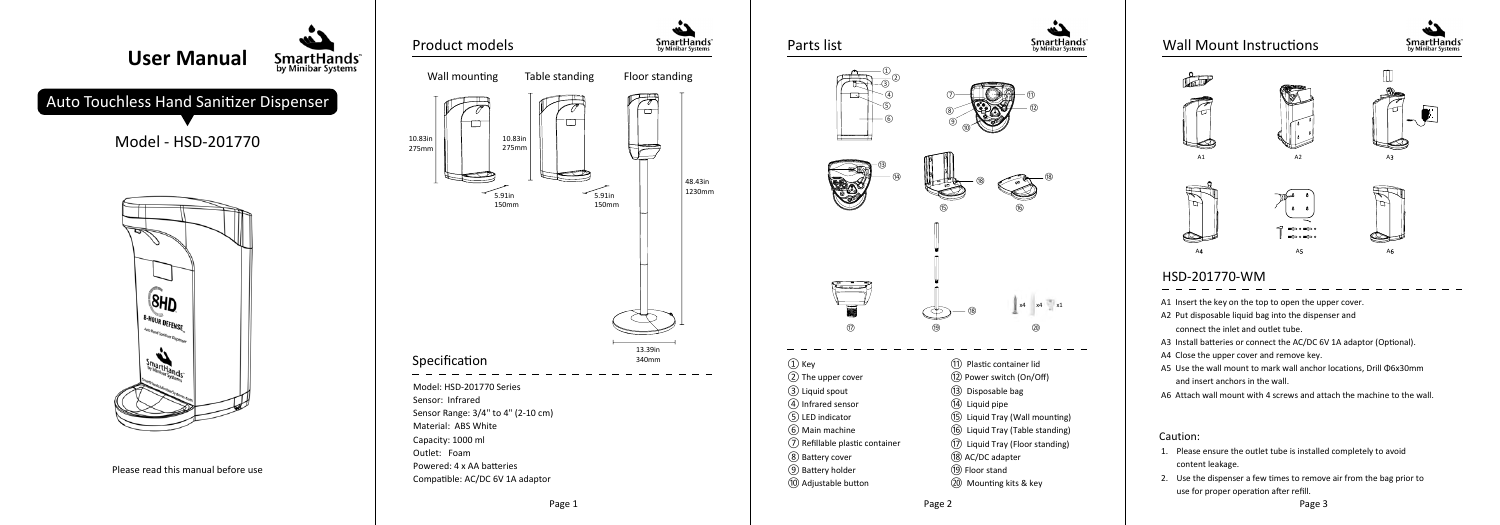# HSD-201770-WM

- 1. Please ensure the outlet tube is installed completely to avoid content leakage.
- 2. Use the dispenser a few times to remove air from the bag prior to use for proper operation after refill.





- A1 Insert the key on the top to open the upper cover.
- A2 Put disposable liquid bag into the dispenser and
- connect the inlet and outlet tube.
- A3 Install batteries or connect the AC/DC 6V 1A adaptor (Optional).
- A4 Close the upper cover and remove key.
- A5 Use the wall mount to mark wall anchor locations, Drill Φ6x30mm and insert anchors in the wall.
- A6 Attach wall mount with 4 screws and attach the machine to the wall.







#### Caution: